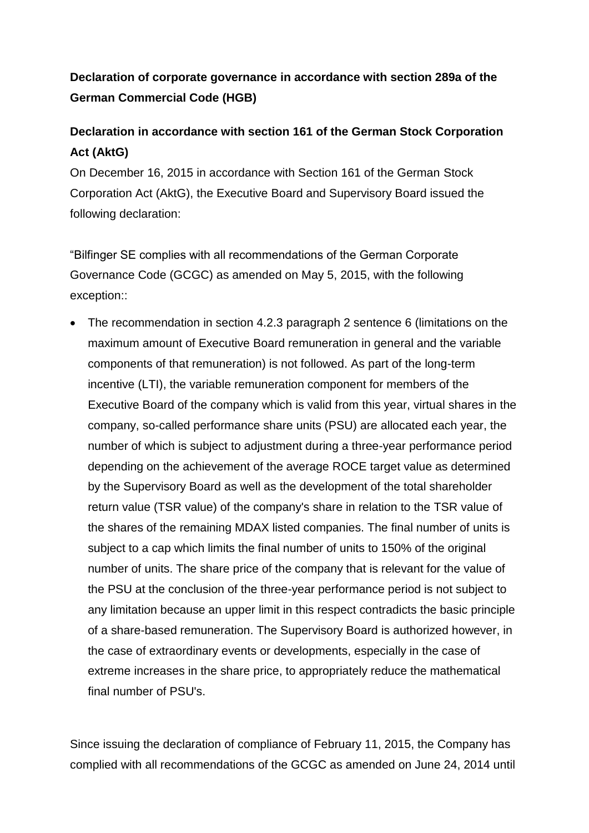# **Declaration of corporate governance in accordance with section 289a of the German Commercial Code (HGB)**

# **Declaration in accordance with section 161 of the German Stock Corporation Act (AktG)**

On December 16, 2015 in accordance with Section 161 of the German Stock Corporation Act (AktG), the Executive Board and Supervisory Board issued the following declaration:

"Bilfinger SE complies with all recommendations of the German Corporate Governance Code (GCGC) as amended on May 5, 2015, with the following exception::

 The recommendation in section 4.2.3 paragraph 2 sentence 6 (limitations on the maximum amount of Executive Board remuneration in general and the variable components of that remuneration) is not followed. As part of the long-term incentive (LTI), the variable remuneration component for members of the Executive Board of the company which is valid from this year, virtual shares in the company, so-called performance share units (PSU) are allocated each year, the number of which is subject to adjustment during a three-year performance period depending on the achievement of the average ROCE target value as determined by the Supervisory Board as well as the development of the total shareholder return value (TSR value) of the company's share in relation to the TSR value of the shares of the remaining MDAX listed companies. The final number of units is subject to a cap which limits the final number of units to 150% of the original number of units. The share price of the company that is relevant for the value of the PSU at the conclusion of the three-year performance period is not subject to any limitation because an upper limit in this respect contradicts the basic principle of a share-based remuneration. The Supervisory Board is authorized however, in the case of extraordinary events or developments, especially in the case of extreme increases in the share price, to appropriately reduce the mathematical final number of PSU's.

Since issuing the declaration of compliance of February 11, 2015, the Company has complied with all recommendations of the GCGC as amended on June 24, 2014 until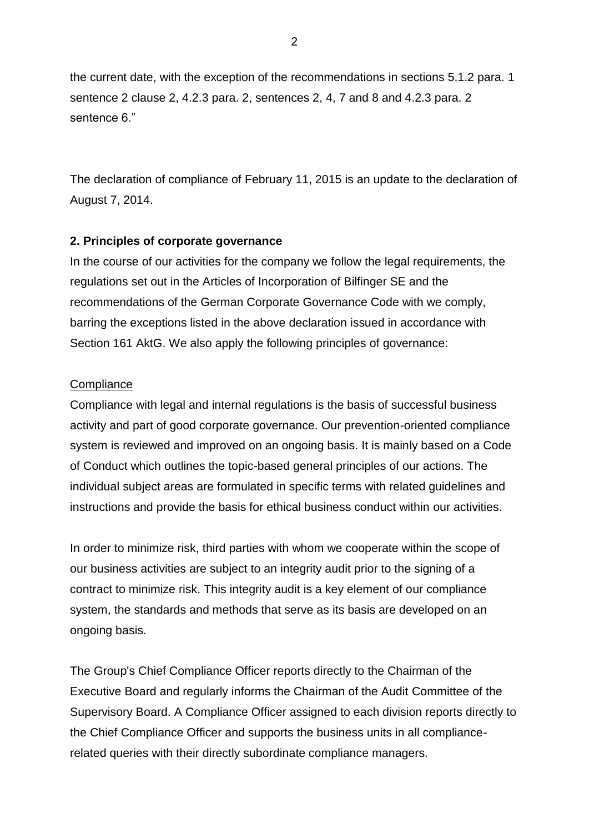the current date, with the exception of the recommendations in sections 5.1.2 para. 1 sentence 2 clause 2, 4.2.3 para. 2, sentences 2, 4, 7 and 8 and 4.2.3 para. 2 sentence 6."

The declaration of compliance of February 11, 2015 is an update to the declaration of August 7, 2014.

## **2. Principles of corporate governance**

In the course of our activities for the company we follow the legal requirements, the regulations set out in the Articles of Incorporation of Bilfinger SE and the recommendations of the German Corporate Governance Code with we comply, barring the exceptions listed in the above declaration issued in accordance with Section 161 AktG. We also apply the following principles of governance:

#### **Compliance**

Compliance with legal and internal regulations is the basis of successful business activity and part of good corporate governance. Our prevention-oriented compliance system is reviewed and improved on an ongoing basis. It is mainly based on a Code of Conduct which outlines the topic-based general principles of our actions. The individual subject areas are formulated in specific terms with related guidelines and instructions and provide the basis for ethical business conduct within our activities.

In order to minimize risk, third parties with whom we cooperate within the scope of our business activities are subject to an integrity audit prior to the signing of a contract to minimize risk. This integrity audit is a key element of our compliance system, the standards and methods that serve as its basis are developed on an ongoing basis.

The Group's Chief Compliance Officer reports directly to the Chairman of the Executive Board and regularly informs the Chairman of the Audit Committee of the Supervisory Board. A Compliance Officer assigned to each division reports directly to the Chief Compliance Officer and supports the business units in all compliancerelated queries with their directly subordinate compliance managers.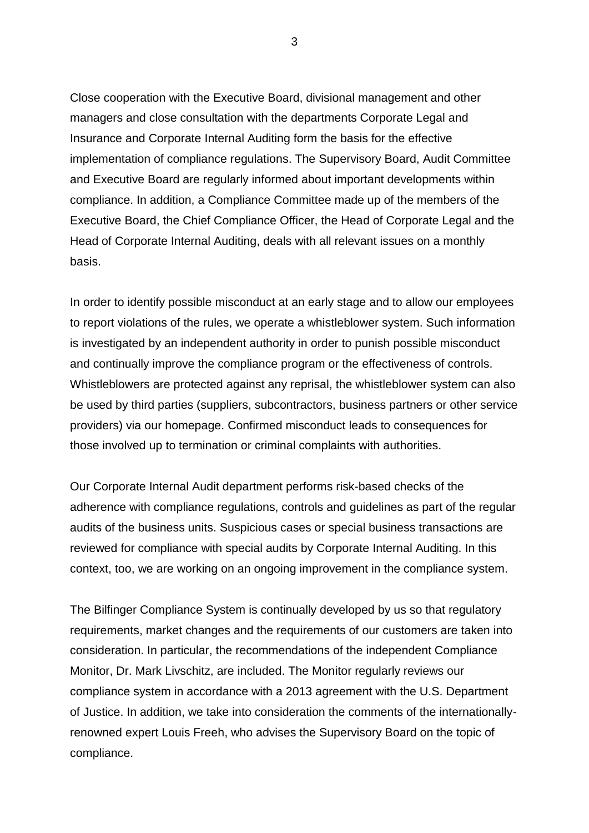Close cooperation with the Executive Board, divisional management and other managers and close consultation with the departments Corporate Legal and Insurance and Corporate Internal Auditing form the basis for the effective implementation of compliance regulations. The Supervisory Board, Audit Committee and Executive Board are regularly informed about important developments within compliance. In addition, a Compliance Committee made up of the members of the Executive Board, the Chief Compliance Officer, the Head of Corporate Legal and the Head of Corporate Internal Auditing, deals with all relevant issues on a monthly basis.

In order to identify possible misconduct at an early stage and to allow our employees to report violations of the rules, we operate a whistleblower system. Such information is investigated by an independent authority in order to punish possible misconduct and continually improve the compliance program or the effectiveness of controls. Whistleblowers are protected against any reprisal, the whistleblower system can also be used by third parties (suppliers, subcontractors, business partners or other service providers) via our homepage. Confirmed misconduct leads to consequences for those involved up to termination or criminal complaints with authorities.

Our Corporate Internal Audit department performs risk-based checks of the adherence with compliance regulations, controls and guidelines as part of the regular audits of the business units. Suspicious cases or special business transactions are reviewed for compliance with special audits by Corporate Internal Auditing. In this context, too, we are working on an ongoing improvement in the compliance system.

The Bilfinger Compliance System is continually developed by us so that regulatory requirements, market changes and the requirements of our customers are taken into consideration. In particular, the recommendations of the independent Compliance Monitor, Dr. Mark Livschitz, are included. The Monitor regularly reviews our compliance system in accordance with a 2013 agreement with the U.S. Department of Justice. In addition, we take into consideration the comments of the internationallyrenowned expert Louis Freeh, who advises the Supervisory Board on the topic of compliance.

3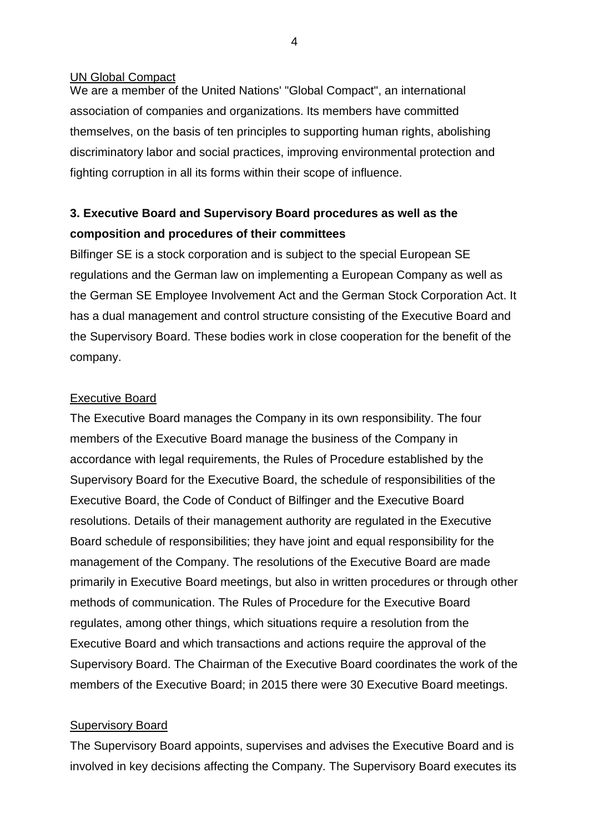#### UN Global Compact

We are a member of the United Nations' "Global Compact", an international association of companies and organizations. Its members have committed themselves, on the basis of ten principles to supporting human rights, abolishing discriminatory labor and social practices, improving environmental protection and fighting corruption in all its forms within their scope of influence.

# **3. Executive Board and Supervisory Board procedures as well as the composition and procedures of their committees**

Bilfinger SE is a stock corporation and is subject to the special European SE regulations and the German law on implementing a European Company as well as the German SE Employee Involvement Act and the German Stock Corporation Act. It has a dual management and control structure consisting of the Executive Board and the Supervisory Board. These bodies work in close cooperation for the benefit of the company.

#### Executive Board

The Executive Board manages the Company in its own responsibility. The four members of the Executive Board manage the business of the Company in accordance with legal requirements, the Rules of Procedure established by the Supervisory Board for the Executive Board, the schedule of responsibilities of the Executive Board, the Code of Conduct of Bilfinger and the Executive Board resolutions. Details of their management authority are regulated in the Executive Board schedule of responsibilities; they have joint and equal responsibility for the management of the Company. The resolutions of the Executive Board are made primarily in Executive Board meetings, but also in written procedures or through other methods of communication. The Rules of Procedure for the Executive Board regulates, among other things, which situations require a resolution from the Executive Board and which transactions and actions require the approval of the Supervisory Board. The Chairman of the Executive Board coordinates the work of the members of the Executive Board; in 2015 there were 30 Executive Board meetings.

#### Supervisory Board

The Supervisory Board appoints, supervises and advises the Executive Board and is involved in key decisions affecting the Company. The Supervisory Board executes its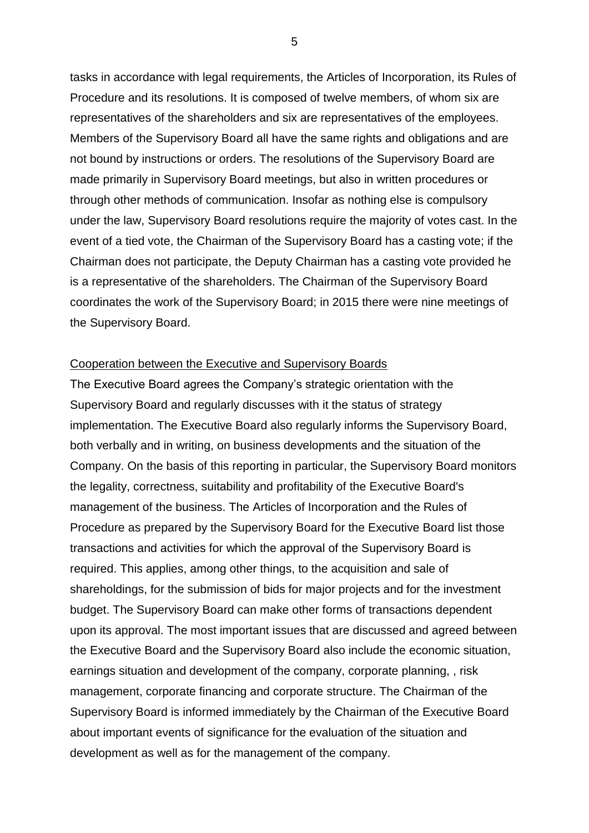tasks in accordance with legal requirements, the Articles of Incorporation, its Rules of Procedure and its resolutions. It is composed of twelve members, of whom six are representatives of the shareholders and six are representatives of the employees. Members of the Supervisory Board all have the same rights and obligations and are not bound by instructions or orders. The resolutions of the Supervisory Board are made primarily in Supervisory Board meetings, but also in written procedures or through other methods of communication. Insofar as nothing else is compulsory under the law, Supervisory Board resolutions require the majority of votes cast. In the event of a tied vote, the Chairman of the Supervisory Board has a casting vote; if the Chairman does not participate, the Deputy Chairman has a casting vote provided he is a representative of the shareholders. The Chairman of the Supervisory Board coordinates the work of the Supervisory Board; in 2015 there were nine meetings of the Supervisory Board.

#### Cooperation between the Executive and Supervisory Boards

The Executive Board agrees the Company's strategic orientation with the Supervisory Board and regularly discusses with it the status of strategy implementation. The Executive Board also regularly informs the Supervisory Board, both verbally and in writing, on business developments and the situation of the Company. On the basis of this reporting in particular, the Supervisory Board monitors the legality, correctness, suitability and profitability of the Executive Board's management of the business. The Articles of Incorporation and the Rules of Procedure as prepared by the Supervisory Board for the Executive Board list those transactions and activities for which the approval of the Supervisory Board is required. This applies, among other things, to the acquisition and sale of shareholdings, for the submission of bids for major projects and for the investment budget. The Supervisory Board can make other forms of transactions dependent upon its approval. The most important issues that are discussed and agreed between the Executive Board and the Supervisory Board also include the economic situation, earnings situation and development of the company, corporate planning, , risk management, corporate financing and corporate structure. The Chairman of the Supervisory Board is informed immediately by the Chairman of the Executive Board about important events of significance for the evaluation of the situation and development as well as for the management of the company.

5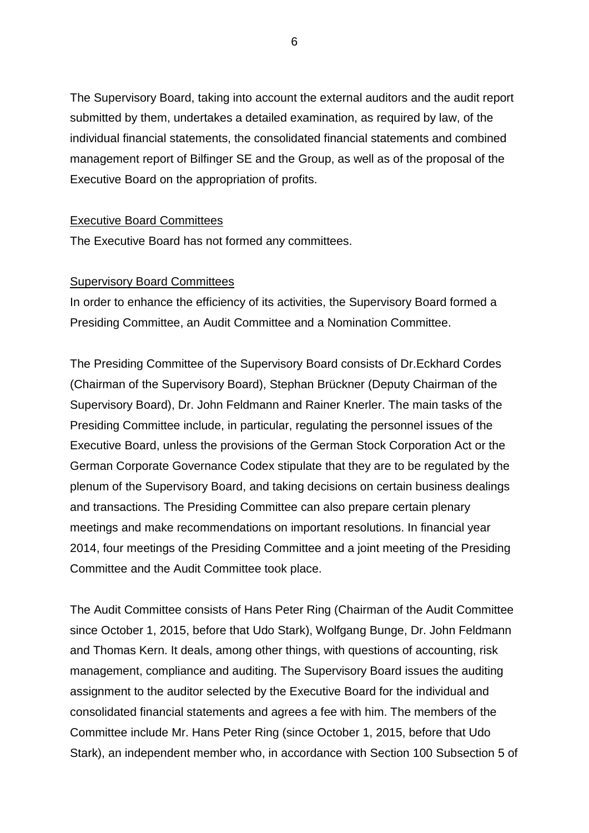The Supervisory Board, taking into account the external auditors and the audit report submitted by them, undertakes a detailed examination, as required by law, of the individual financial statements, the consolidated financial statements and combined management report of Bilfinger SE and the Group, as well as of the proposal of the Executive Board on the appropriation of profits.

#### Executive Board Committees

The Executive Board has not formed any committees.

#### Supervisory Board Committees

In order to enhance the efficiency of its activities, the Supervisory Board formed a Presiding Committee, an Audit Committee and a Nomination Committee.

The Presiding Committee of the Supervisory Board consists of Dr.Eckhard Cordes (Chairman of the Supervisory Board), Stephan Brückner (Deputy Chairman of the Supervisory Board), Dr. John Feldmann and Rainer Knerler. The main tasks of the Presiding Committee include, in particular, regulating the personnel issues of the Executive Board, unless the provisions of the German Stock Corporation Act or the German Corporate Governance Codex stipulate that they are to be regulated by the plenum of the Supervisory Board, and taking decisions on certain business dealings and transactions. The Presiding Committee can also prepare certain plenary meetings and make recommendations on important resolutions. In financial year 2014, four meetings of the Presiding Committee and a joint meeting of the Presiding Committee and the Audit Committee took place.

The Audit Committee consists of Hans Peter Ring (Chairman of the Audit Committee since October 1, 2015, before that Udo Stark), Wolfgang Bunge, Dr. John Feldmann and Thomas Kern. It deals, among other things, with questions of accounting, risk management, compliance and auditing. The Supervisory Board issues the auditing assignment to the auditor selected by the Executive Board for the individual and consolidated financial statements and agrees a fee with him. The members of the Committee include Mr. Hans Peter Ring (since October 1, 2015, before that Udo Stark), an independent member who, in accordance with Section 100 Subsection 5 of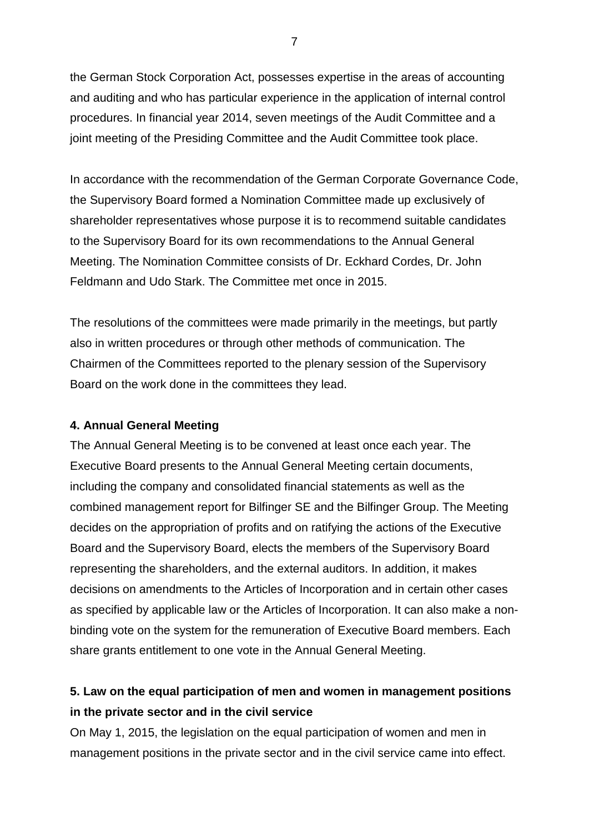the German Stock Corporation Act, possesses expertise in the areas of accounting and auditing and who has particular experience in the application of internal control procedures. In financial year 2014, seven meetings of the Audit Committee and a joint meeting of the Presiding Committee and the Audit Committee took place.

In accordance with the recommendation of the German Corporate Governance Code, the Supervisory Board formed a Nomination Committee made up exclusively of shareholder representatives whose purpose it is to recommend suitable candidates to the Supervisory Board for its own recommendations to the Annual General Meeting. The Nomination Committee consists of Dr. Eckhard Cordes, Dr. John Feldmann and Udo Stark. The Committee met once in 2015.

The resolutions of the committees were made primarily in the meetings, but partly also in written procedures or through other methods of communication. The Chairmen of the Committees reported to the plenary session of the Supervisory Board on the work done in the committees they lead.

## **4. Annual General Meeting**

The Annual General Meeting is to be convened at least once each year. The Executive Board presents to the Annual General Meeting certain documents, including the company and consolidated financial statements as well as the combined management report for Bilfinger SE and the Bilfinger Group. The Meeting decides on the appropriation of profits and on ratifying the actions of the Executive Board and the Supervisory Board, elects the members of the Supervisory Board representing the shareholders, and the external auditors. In addition, it makes decisions on amendments to the Articles of Incorporation and in certain other cases as specified by applicable law or the Articles of Incorporation. It can also make a nonbinding vote on the system for the remuneration of Executive Board members. Each share grants entitlement to one vote in the Annual General Meeting.

# **5. Law on the equal participation of men and women in management positions in the private sector and in the civil service**

On May 1, 2015, the legislation on the equal participation of women and men in management positions in the private sector and in the civil service came into effect.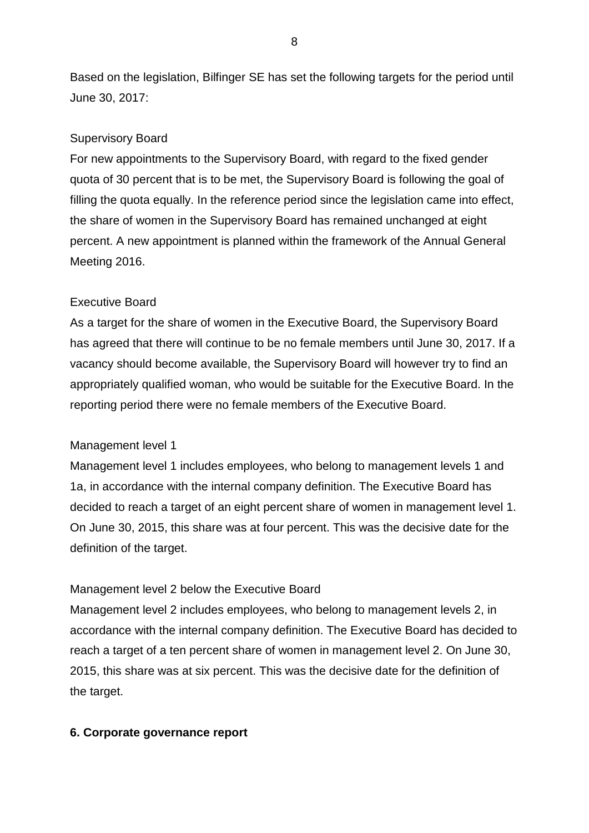Based on the legislation, Bilfinger SE has set the following targets for the period until June 30, 2017:

### Supervisory Board

For new appointments to the Supervisory Board, with regard to the fixed gender quota of 30 percent that is to be met, the Supervisory Board is following the goal of filling the quota equally. In the reference period since the legislation came into effect, the share of women in the Supervisory Board has remained unchanged at eight percent. A new appointment is planned within the framework of the Annual General Meeting 2016.

### Executive Board

As a target for the share of women in the Executive Board, the Supervisory Board has agreed that there will continue to be no female members until June 30, 2017. If a vacancy should become available, the Supervisory Board will however try to find an appropriately qualified woman, who would be suitable for the Executive Board. In the reporting period there were no female members of the Executive Board.

#### Management level 1

Management level 1 includes employees, who belong to management levels 1 and 1a, in accordance with the internal company definition. The Executive Board has decided to reach a target of an eight percent share of women in management level 1. On June 30, 2015, this share was at four percent. This was the decisive date for the definition of the target.

#### Management level 2 below the Executive Board

Management level 2 includes employees, who belong to management levels 2, in accordance with the internal company definition. The Executive Board has decided to reach a target of a ten percent share of women in management level 2. On June 30, 2015, this share was at six percent. This was the decisive date for the definition of the target.

#### **6. Corporate governance report**

8